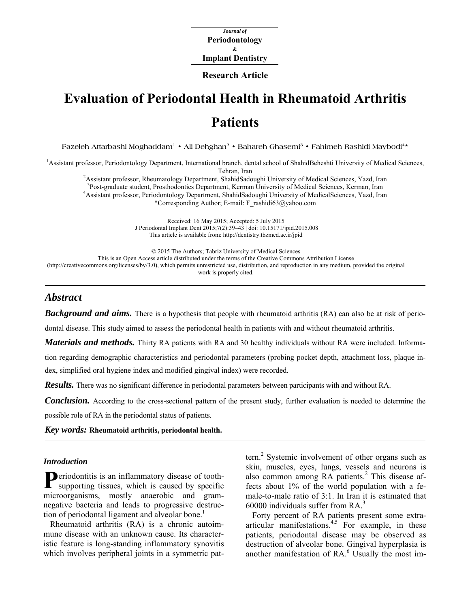*Journal of*  **Periodontology Implant Dentistry &** 

**Research Article**

# **Evaluation of Periodontal Health in Rheumatoid Arthritis Patients**

Fazeleh Attarbashi Moghaddam<sup>1</sup> • Ali Dehghan<sup>2</sup> • Bahareh Ghasemi<sup>3</sup> • Fahimeh Rashidi Maybodi<sup>4\*</sup>

<sup>1</sup> Assistant professor, Periodontology Department, International branch, dental school of ShahidBeheshti University of Medical Sciences, Tehran, Iran<br><sup>2</sup>A saistent professor, Phoymatology Department, ShahidSado

Assistant professor, Rheumatology Department, ShahidSadoughi University of Medical Sciences, Yazd, Iran 3<br>Bost graduate student Prosthodonties Department Kerman University of Medical Sciences, Kerman, Iran

<sup>3</sup>Post-graduate student, Prosthodontics Department, Kerman University of Medical Sciences, Kerman, Iran Assistant professor, Periodontology Department, ShahidSadoughi University of MedicalSciences, Yazd, Iran

\*Corresponding Author; E-mail: F\_rashidi63@yahoo.com

Received: 16 May 2015; Accepted: 5 July 2015 J Periodontal Implant Dent 2015;7(2):39–43 | [doi: 10.15171/jpid.2015.008](http://dx.doi.org/10.15171/jpid.2015.008)  This article is available from: <http://dentistry.tbzmed.ac.ir/jpid>

© 2015 The Authors; Tabriz University of Medical Sciences This is an Open Access article distributed under the terms of the Creative Commons Attribution License [\(http://creativecommons.org/licenses/by/3.0](http://creativecommons.org/licenses/by/3.0)), which permits unrestricted use, distribution, and reproduction in any medium, provided the original work is properly cited.

# *Abstract*

*Background and aims.* There is a hypothesis that people with rheumatoid arthritis (RA) can also be at risk of perio-

dontal disease. This study aimed to assess the periodontal health in patients with and without rheumatoid arthritis.

*Materials and methods.* Thirty RA patients with RA and 30 healthy individuals without RA were included. Informa-

tion regarding demographic characteristics and periodontal parameters (probing pocket depth, attachment loss, plaque index, simplified oral hygiene index and modified gingival index) were recorded.

*Results.* There was no significant difference in periodontal parameters between participants with and without RA.

*Conclusion.* According to the cross-sectional pattern of the present study, further evaluation is needed to determine the

possible role of RA in the periodontal status of patients.

*Key words:* **Rheumatoid arthritis, periodontal health.** 

#### *Introduction*

Periodontitis is an inflammatory disease of tooth-supporting tissues, which is caused by specific supporting tissues, which is caused by specific microorganisms, mostly anaerobic and gramnegative bacteria and leads to progressive destruction of periodontal ligament and alveolar bone.<sup>1</sup>

Rheumatoid arthritis (RA) is a chronic autoimmune disease with an unknown cause. Its characteristic feature is long-standing inflammatory synovitis which involves peripheral joints in a symmetric pat-

tern.<sup>2</sup> Systemic involvement of other organs such as skin, muscles, eyes, lungs, vessels and neurons is also common among RA patients.<sup>2</sup> This disease affects about 1% of the world population with a female-to-male ratio of 3:1. In Iran it is estimated that 60000 individuals suffer from  $RA$ <sup>3</sup>

Forty percent of RA patients present some extra $articular$  manifestations.<sup>4,5</sup> For example, in these patients, periodontal disease may be observed as destruction of alveolar bone. Gingival hyperplasia is another manifestation of RA.<sup>6</sup> Usually the most im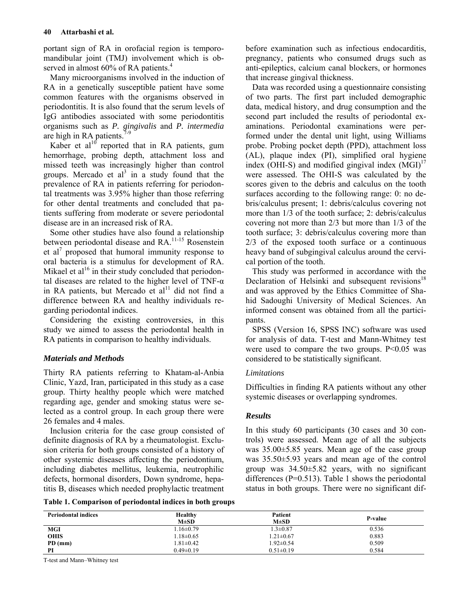portant sign of RA in orofacial region is temporomandibular joint (TMJ) involvement which is observed in almost 60% of RA patients.<sup>4</sup>

Many microorganisms involved in the induction of RA in a genetically susceptible patient have some common features with the organisms observed in periodontitis. It is also found that the serum levels of IgG antibodies associated with some periodontitis organisms such as *P. gingivalis* and *P. intermedia* are high in RA patients.<sup>7</sup>

Kaber et  $al^{10}$  reported that in RA patients, gum hemorrhage, probing depth, attachment loss and missed teeth was increasingly higher than control groups. Mercado et  $al^3$  in a study found that the prevalence of RA in patients referring for periodontal treatments was 3.95% higher than those referring for other dental treatments and concluded that patients suffering from moderate or severe periodontal disease are in an increased risk of RA.

Some other studies have also found a relationship between periodontal disease and RA.<sup>11-15</sup> Rosenstein et al<sup>7</sup> proposed that humoral immunity response to oral bacteria is a stimulus for development of RA. Mikael et al<sup>16</sup> in their study concluded that periodontal diseases are related to the higher level of TNF- $\alpha$ in RA patients, but Mercado et  $al<sup>11</sup>$  did not find a difference between RA and healthy individuals regarding periodontal indices.

Considering the existing controversies, in this study we aimed to assess the periodontal health in RA patients in comparison to healthy individuals.

# *Materials and Methods*

Thirty RA patients referring to Khatam-al-Anbia Clinic, Yazd, Iran, participated in this study as a case group. Thirty healthy people which were matched regarding age, gender and smoking status were selected as a control group. In each group there were 26 females and 4 males.

Inclusion criteria for the case group consisted of definite diagnosis of RA by a rheumatologist. Exclusion criteria for both groups consisted of a history of other systemic diseases affecting the periodontium, including diabetes mellitus, leukemia, neutrophilic defects, hormonal disorders, Down syndrome, hepatitis B, diseases which needed prophylactic treatment

before examination such as infectious endocarditis, pregnancy, patients who consumed drugs such as anti-epileptics, calcium canal blockers, or hormones that increase gingival thickness.

Data was recorded using a questionnaire consisting of two parts. The first part included demographic data, medical history, and drug consumption and the second part included the results of periodontal examinations. Periodontal examinations were performed under the dental unit light, using Williams probe. Probing pocket depth (PPD), attachment loss (AL), plaque index (PI), simplified oral hygiene index (OHI-S) and modified gingival index  $(MGI)<sup>17</sup>$ were assessed. The OHI-S was calculated by the scores given to the debris and calculus on the tooth surfaces according to the following range: 0: no debris/calculus present; 1: debris/calculus covering not more than 1/3 of the tooth surface; 2: debris/calculus covering not more than 2/3 but more than 1/3 of the tooth surface; 3: debris/calculus covering more than 2/3 of the exposed tooth surface or a continuous heavy band of subgingival calculus around the cervical portion of the tooth.

This study was performed in accordance with the Declaration of Helsinki and subsequent revisions<sup>18</sup> and was approved by the Ethics Committee of Shahid Sadoughi University of Medical Sciences. An informed consent was obtained from all the participants.

SPSS (Version 16, SPSS INC) software was used for analysis of data. T-test and Mann-Whitney test were used to compare the two groups.  $P<0.05$  was considered to be statistically significant.

# *Limitations*

Difficulties in finding RA patients without any other systemic diseases or overlapping syndromes.

# *Results*

In this study 60 participants (30 cases and 30 controls) were assessed. Mean age of all the subjects was 35.00±5.85 years. Mean age of the case group was 35.50±5.93 years and mean age of the control group was 34.50±5.82 years, with no significant differences ( $P=0.513$ ). Table 1 shows the periodontal status in both groups. There were no significant dif-

**Table 1. Comparison of periodontal indices in both groups** 

| <b>Periodontal indices</b> | Healthy<br>$M \pm SD$ | Patient<br>$M\pm SD$ | P-value |
|----------------------------|-----------------------|----------------------|---------|
| <b>MGI</b>                 | $1.16 \pm 0.79$       | $1.3 \pm 0.87$       | 0.536   |
| <b>OHIS</b>                | $1.18 \pm 0.65$       | $1.21 \pm 0.67$      | 0.883   |
| $PD$ (mm)                  | $1.81 \pm 0.42$       | $1.92 \pm 0.54$      | 0.509   |
| PI                         | $0.49 \pm 0.19$       | $0.51 \pm 0.19$      | 0.584   |

T-test and Mann–Whitney test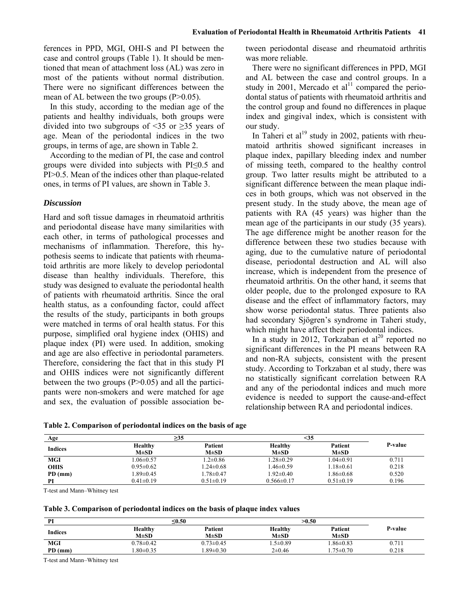ferences in PPD, MGI, OHI-S and PI between the case and control groups (Table 1). It should be mentioned that mean of attachment loss (AL) was zero in most of the patients without normal distribution. There were no significant differences between the mean of AL between the two groups  $(P>0.05)$ .

In this study, according to the median age of the patients and healthy individuals, both groups were divided into two subgroups of <35 or  $\geq$ 35 years of age. Mean of the periodontal indices in the two groups, in terms of age, are shown in Table 2.

According to the median of PI, the case and control groups were divided into subjects with PI≤0.5 and PI>0.5. Mean of the indices other than plaque-related ones, in terms of PI values, are shown in Table 3.

# *Discussion*

Hard and soft tissue damages in rheumatoid arthritis and periodontal disease have many similarities with each other, in terms of pathological processes and mechanisms of inflammation. Therefore, this hypothesis seems to indicate that patients with rheumatoid arthritis are more likely to develop periodontal disease than healthy individuals. Therefore, this study was designed to evaluate the periodontal health of patients with rheumatoid arthritis. Since the oral health status, as a confounding factor, could affect the results of the study, participants in both groups were matched in terms of oral health status. For this purpose, simplified oral hygiene index (OHIS) and plaque index (PI) were used. In addition, smoking and age are also effective in periodontal parameters. Therefore, considering the fact that in this study PI and OHIS indices were not significantly different between the two groups  $(P>0.05)$  and all the participants were non-smokers and were matched for age and sex, the evaluation of possible association between periodontal disease and rheumatoid arthritis was more reliable.

There were no significant differences in PPD, MGI and AL between the case and control groups. In a study in 2001, Mercado et  $al<sup>11</sup>$  compared the periodontal status of patients with rheumatoid arthritis and the control group and found no differences in plaque index and gingival index, which is consistent with our study.

In Taheri et  $al^{19}$  study in 2002, patients with rheumatoid arthritis showed significant increases in plaque index, papillary bleeding index and number of missing teeth, compared to the healthy control group. Two latter results might be attributed to a significant difference between the mean plaque indices in both groups, which was not observed in the present study. In the study above, the mean age of patients with RA (45 years) was higher than the mean age of the participants in our study (35 years). The age difference might be another reason for the difference between these two studies because with aging, due to the cumulative nature of periodontal disease, periodontal destruction and AL will also increase, which is independent from the presence of rheumatoid arthritis. On the other hand, it seems that older people, due to the prolonged exposure to RA disease and the effect of inflammatory factors, may show worse periodontal status. Three patients also had secondary Sjögren's syndrome in Taheri study, which might have affect their periodontal indices.

In a study in 2012, Torkzaban et  $al^{20}$  reported no significant differences in the PI means between RA and non-RA subjects, consistent with the present study. According to Torkzaban et al study, there was no statistically significant correlation between RA and any of the periodontal indices and much more evidence is needed to support the cause-and-effect relationship between RA and periodontal indices.

|  |  | Table 2. Comparison of periodontal indices on the basis of age |
|--|--|----------------------------------------------------------------|
|  |  |                                                                |

| Age         | $\geq$ 35       |                 |                  | <35             |                |  |
|-------------|-----------------|-----------------|------------------|-----------------|----------------|--|
|             | Healthy         | Patient         | <b>Healthy</b>   | Patient         | <b>P-value</b> |  |
| Indices     | $M\pm SD$       | $M\pm SD$       | $M\pm SD$        | $M\pm SD$       |                |  |
| <b>MGI</b>  | $.06\pm 0.57$   | $1.2 \pm 0.86$  | $.28 \pm 0.29$   | $1.04 \pm 0.91$ | 0.711          |  |
| <b>OHIS</b> | $0.95 \pm 0.62$ | $1.24 \pm 0.68$ | $1.46 \pm 0.59$  | $1.18 \pm 0.61$ | 0.218          |  |
| $PD$ (mm)   | $1.89 \pm 0.45$ | $1.78 \pm 0.47$ | $1.92 \pm 0.40$  | $1.86 \pm 0.68$ | 0.520          |  |
| PI          | $0.41 \pm 0.19$ | $0.51 \pm 0.19$ | $0.566 \pm 0.17$ | $0.51 \pm 0.19$ | 0.196          |  |

T-test and Mann–Whitney test

| Table 3. Comparison of periodontal indices on the basis of plaque index values |  |  |  |  |  |  |
|--------------------------------------------------------------------------------|--|--|--|--|--|--|
|--------------------------------------------------------------------------------|--|--|--|--|--|--|

| PI             |                             | $0.50$               |                             | >0.50                |         |
|----------------|-----------------------------|----------------------|-----------------------------|----------------------|---------|
| <b>Indices</b> | <b>Healthy</b><br>$M\pm SD$ | Patient<br>$M\pm SD$ | <b>Healthy</b><br>$M\pm SD$ | Patient<br>$M\pm SD$ | P-value |
| <b>MGI</b>     | $0.78 \pm 0.42$             | $0.73 \pm 0.45$      | $.5 \pm 0.89$               | $.86 \pm 0.83$       | 0.711   |
| PD (mm)        | $.80 \pm 0.35$              | $.89 \pm 0.30$       | $2\pm 0.46$                 | $.75 \pm 0.70$       | 0.218   |

T-test and Mann–Whitney test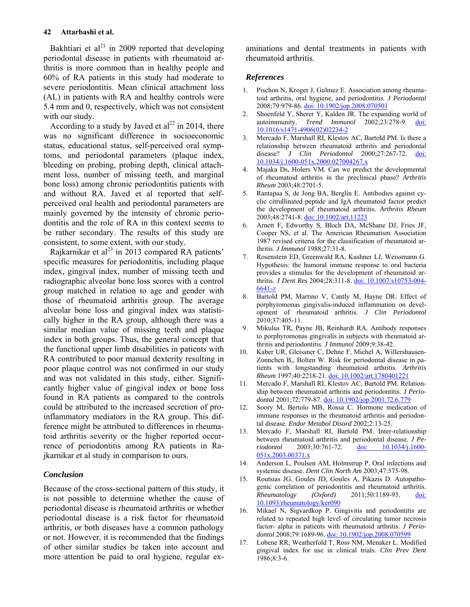### **42 Attarbashi et al.**

Bakhtiari et al<sup>21</sup> in 2009 reported that developing periodontal disease in patients with rheumatoid arthritis is more common than in healthy people and 60% of RA patients in this study had moderate to severe periodontitis. Mean clinical attachment loss (AL) in patients with RA and healthy controls were 5.4 mm and 0, respectively, which was not consistent with our study.

According to a study by Javed et  $al<sup>22</sup>$  in 2014, there was no significant difference in socioeconomic status, educational status, self-perceived oral symptoms, and periodontal parameters (plaque index, bleeding on probing, probing depth, clinical attachment loss, number of missing teeth, and marginal bone loss) among chronic periodontitis patients with and without RA. Javed et al reported that selfperceived oral health and periodontal parameters are mainly governed by the intensity of chronic periodontitis and the role of RA in this context seems to be rather secondary. The results of this study are consistent, to some extent, with our study.

Rajkarnikar et al $^{23}$  in 2013 compared RA patients' specific measures for periodontitis, including plaque index, gingival index, number of missing teeth and radiographic alveolar bone loss scores with a control group matched in relation to age and gender with those of rheumatoid arthritis group. The average alveolar bone loss and gingival index was statistically higher in the RA group, although there was a similar median value of missing teeth and plaque index in both groups. Thus, the general concept that the functional upper limb disabilities in patients with RA contributed to poor manual dexterity resulting in poor plaque control was not confirmed in our study and was not validated in this study, either. Significantly higher value of gingival index or bone loss found in RA patients as compared to the controls could be attributed to the increased secretion of proinflammatory mediators in the RA group. This difference might be attributed to differences in rheumatoid arthritis severity or the higher reported occurrence of periodontitis among RA patients in Rajkarnikar et al study in comparison to ours.

## *Conclusion*

Because of the cross-sectional pattern of this study, it is not possible to determine whether the cause of periodontal disease is rheumatoid arthritis or whether periodontal disease is a risk factor for rheumatoid arthritis, or both diseases have a common pathology or not. However, it is recommended that the findings of other similar studies be taken into account and more attention be paid to oral hygiene, regular examinations and dental treatments in patients with rheumatoid arthritis.

#### *References*

- 1. Pischon N, Kroger J, Gulmez E. Association among rheumatoid arthritis, oral hygiene, and periodontitis. *J Periodontal* 2008;79:979-86. [doi: 10.1902/jop.2008.070501](http://dx.doi.org/10.1902/jop.2008.070501)
- 2. Shoenfeld Y, Sherer Y, Kalden JR. The expanding world of autoimmunity. *Trend Immunol* 2002;23:278-9. [doi:](http://dx.doi.org/10.1016/s1471-4906(02)02234-2)  [10.1016/s1471-4906\(02\)02234-2](http://dx.doi.org/10.1016/s1471-4906(02)02234-2)
- 3. Mercado F, Marshall RI, Klestov AC, Bartold PM. Is there a relationship between rheumatoid arthritis and periodontal disease? *J Clin Periodontol* 2000;27:267-72. [doi:](http://dx.doi.org/10.1034/j.1600-051x.2000.027004267.x)  [10.1034/j.1600-051x.2000.027004267.x](http://dx.doi.org/10.1034/j.1600-051x.2000.027004267.x)
- Majaka Ds, Holers VM. Can we predict the developmental of rheumatoid arthritis in the preclinical phase? *Arthritis Rheum* 2003;48:2701-5.
- 5. Rantapaa S, de Jong BA, Berglin E. Antibodies against cyclic citrullinated peptide and IgA rheumatoid factor predict the development of rheumatoid arthritis. *Arthritis Rheum* 2003;48:2741-8. [doi: 10.1002/art.11223](http://dx.doi.org/10.1002/art.11223)
- 6. Arnett F, Edworthy S, Bloch DA, McShane DJ, Fries JF, Cooper NS, et al. The American Rheumatism Association 1987 revised criteria for the classification of rheumatoid arthritis. *J Immunol* 1988;27:31-8.
- 7. Rosenstein ED, Greenwald RA, Kushner LJ, Weissmann G. Hypothesis: the humoral immune response to oral bacteria provides a stimulus for the development of rheumatoid arthritis. *J Dent Res* 2004;28:311-8. [doi: 10.1007/s10753-004-](http://dx.doi.org/10.1007/s10753-004-6641-z) [6641-z](http://dx.doi.org/10.1007/s10753-004-6641-z)
- 8. Bartold PM, Martino V, Cantly M, Hayne DR. Effect of porphyromonas gingivalis-induced inflammation on development of rheumatoid arthritis. *J Clin Periodontol* 2010;37:405-11.
- 9. Mikulus TR, Payne JB, Reinhardt RA. Antibody responses to porphyromonas gingivalis in subjects with rheumatoid arthritis and periodontitis. *J Immunol* 2009;9:38-42.
- 10. Kaber UR, Gleissner C, Dehne F, Michel A, Willershausen-Zonnchen B,, Bolten W. Risk for periodontal disease in patients with longstanding rheumatoid arthritis. *Arthritis Rheum* 1997;40:2218-21. [doi: 10.1002/art.1780401221](http://dx.doi.org/10.1002/art.1780401221)
- 11. Mercado F, Marshall RI, Klestov AC, Bartold PM. Relationship between rheumatoid arthritis and periodontitis. *J Periodontol* 2001;72:779-87. [doi: 10.1902/jop.2001.72.6.779](http://dx.doi.org/10.1902/jop.2001.72.6.779)
- 12. Soory M, Bertolo MB, Rossa C. Hormone medication of immune responses in the rheumatoid arthritis and periodontal disease. *Endor Metabol Disord* 2002;2:13-25.
- 13. Mercado F, Marshall RI, Bartold PM. Inter-relationship between rheumatoid arthritis and periodontal disease. *J Periodontol* 2003;30:761-72. [doi: 10.1034/j.1600-](http://dx.doi.org/10.1034/j.1600-051x.2003.00371.x) [051x.2003.00371.x](http://dx.doi.org/10.1034/j.1600-051x.2003.00371.x)
- 14. Anderson L, Poulsen AM, Holmstrup P. Oral infections and systemic disease. *Dent Clin North Am* 2003;47:575-98.
- 15. Routsias JG, Goules JD, Goules A, Pikazis D. Autopathogenic correlation of periodontitis and rheumatoid arthritis. *Rheumatology (Oxford)* 2011;50:1189-93. [doi:](http://dx.doi.org/10.1093/rheumatology/ker090)  [10.1093/rheumatology/ker090](http://dx.doi.org/10.1093/rheumatology/ker090)
- 16. Mikael N, Sigvardkop P. Gingivitis and periodontitis are related to repeated high level of circulating tumor necrosis factor- alpha in patients with rheumatoid arthritis. *J Periodontol* 2008;79:1689-96. [doi: 10.1902/jop.2008.070599](http://dx.doi.org/10.1902/jop.2008.070599)
- 17. Lobene RR, Weatherfold T, Ross NM, Menaker L. Modified gingival index for use in clinical trials. *Clin Prev Dent* 1986;8:3-6.